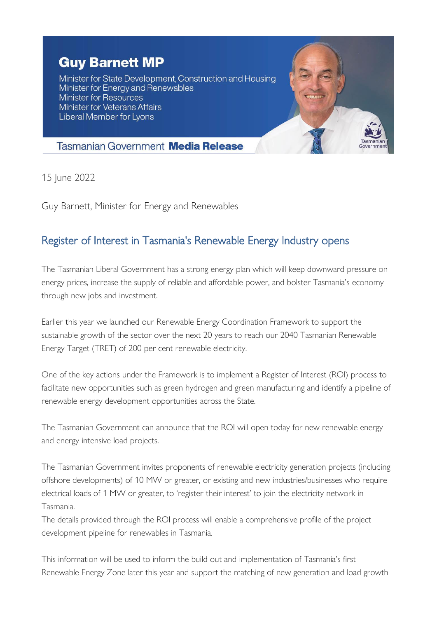## **Guy Barnett MP**

Minister for State Development, Construction and Housing Minister for Energy and Renewables **Minister for Resources Minister for Veterans Affairs** Liberal Member for Lyons



## **Tasmanian Government Media Release**

15 June 2022

Guy Barnett, Minister for Energy and Renewables

## Register of Interest in Tasmania's Renewable Energy Industry opens

The Tasmanian Liberal Government has a strong energy plan which will keep downward pressure on energy prices, increase the supply of reliable and affordable power, and bolster Tasmania's economy through new jobs and investment.

Earlier this year we launched our Renewable Energy Coordination Framework to support the sustainable growth of the sector over the next 20 years to reach our 2040 Tasmanian Renewable Energy Target (TRET) of 200 per cent renewable electricity.

One of the key actions under the Framework is to implement a Register of Interest (ROI) process to facilitate new opportunities such as green hydrogen and green manufacturing and identify a pipeline of renewable energy development opportunities across the State.

The Tasmanian Government can announce that the ROI will open today for new renewable energy and energy intensive load projects.

The Tasmanian Government invites proponents of renewable electricity generation projects (including offshore developments) of 10 MW or greater, or existing and new industries/businesses who require electrical loads of 1 MW or greater, to 'register their interest' to join the electricity network in Tasmania.

The details provided through the ROI process will enable a comprehensive profile of the project development pipeline for renewables in Tasmania.

This information will be used to inform the build out and implementation of Tasmania's first Renewable Energy Zone later this year and support the matching of new generation and load growth